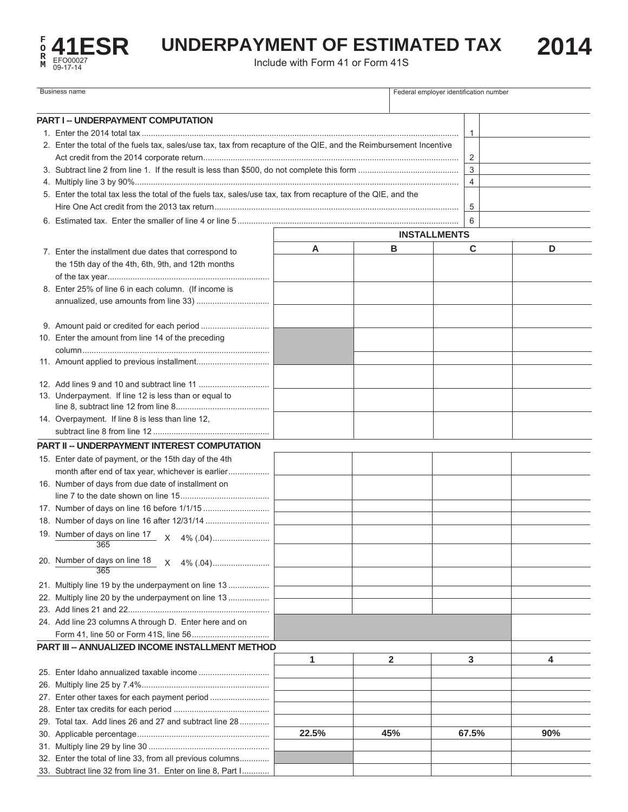

## UNDERPAYMENT OF ESTIMATED TAX 2014

| <b>Business name</b> |                                                                                                                    |       |              | Federal employer identification number |     |  |
|----------------------|--------------------------------------------------------------------------------------------------------------------|-------|--------------|----------------------------------------|-----|--|
|                      | <b>PART I -- UNDERPAYMENT COMPUTATION</b>                                                                          |       |              |                                        |     |  |
|                      |                                                                                                                    |       |              | 1                                      |     |  |
|                      | 2. Enter the total of the fuels tax, sales/use tax, tax from recapture of the QIE, and the Reimbursement Incentive |       |              | 2                                      |     |  |
|                      |                                                                                                                    |       |              | 3                                      |     |  |
|                      |                                                                                                                    |       |              | $\overline{4}$                         |     |  |
|                      | 5. Enter the total tax less the total of the fuels tax, sales/use tax, tax from recapture of the QIE, and the      |       |              |                                        |     |  |
|                      |                                                                                                                    |       |              | 5                                      |     |  |
|                      |                                                                                                                    |       |              | 6                                      |     |  |
|                      | <b>INSTALLMENTS</b>                                                                                                |       |              |                                        |     |  |
|                      |                                                                                                                    | Α     |              | в<br>С<br>D                            |     |  |
|                      | 7. Enter the installment due dates that correspond to                                                              |       |              |                                        |     |  |
|                      | the 15th day of the 4th, 6th, 9th, and 12th months                                                                 |       |              |                                        |     |  |
|                      |                                                                                                                    |       |              |                                        |     |  |
|                      | 8. Enter 25% of line 6 in each column. (If income is                                                               |       |              |                                        |     |  |
|                      |                                                                                                                    |       |              |                                        |     |  |
|                      |                                                                                                                    |       |              |                                        |     |  |
|                      | 10. Enter the amount from line 14 of the preceding                                                                 |       |              |                                        |     |  |
|                      |                                                                                                                    |       |              |                                        |     |  |
|                      |                                                                                                                    |       |              |                                        |     |  |
|                      |                                                                                                                    |       |              |                                        |     |  |
|                      | 13. Underpayment. If line 12 is less than or equal to                                                              |       |              |                                        |     |  |
|                      |                                                                                                                    |       |              |                                        |     |  |
|                      | 14. Overpayment. If line 8 is less than line 12,                                                                   |       |              |                                        |     |  |
|                      |                                                                                                                    |       |              |                                        |     |  |
|                      | <b>PART II -- UNDERPAYMENT INTEREST COMPUTATION</b>                                                                |       |              |                                        |     |  |
|                      | 15. Enter date of payment, or the 15th day of the 4th                                                              |       |              |                                        |     |  |
|                      | month after end of tax year, whichever is earlier                                                                  |       |              |                                        |     |  |
|                      | 16. Number of days from due date of installment on                                                                 |       |              |                                        |     |  |
|                      |                                                                                                                    |       |              |                                        |     |  |
|                      |                                                                                                                    |       |              |                                        |     |  |
|                      |                                                                                                                    |       |              |                                        |     |  |
|                      | 365                                                                                                                |       |              |                                        |     |  |
|                      | 20. Number of days on line 18<br>X<br>365                                                                          |       |              |                                        |     |  |
|                      | 21. Multiply line 19 by the underpayment on line 13                                                                |       |              |                                        |     |  |
|                      | 22. Multiply line 20 by the underpayment on line 13                                                                |       |              |                                        |     |  |
|                      |                                                                                                                    |       |              |                                        |     |  |
|                      | 24. Add line 23 columns A through D. Enter here and on                                                             |       |              |                                        |     |  |
|                      |                                                                                                                    |       |              |                                        |     |  |
|                      | PART III -- ANNUALIZED INCOME INSTALLMENT METHOD                                                                   |       |              |                                        |     |  |
|                      |                                                                                                                    | 1     | $\mathbf{2}$ | 3                                      | 4   |  |
|                      |                                                                                                                    |       |              |                                        |     |  |
|                      |                                                                                                                    |       |              |                                        |     |  |
|                      | 27. Enter other taxes for each payment period                                                                      |       |              |                                        |     |  |
|                      |                                                                                                                    |       |              |                                        |     |  |
|                      | 29. Total tax. Add lines 26 and 27 and subtract line 28                                                            |       |              |                                        |     |  |
|                      |                                                                                                                    | 22.5% | 45%          | 67.5%                                  | 90% |  |
|                      |                                                                                                                    |       |              |                                        |     |  |
|                      | 32. Enter the total of line 33, from all previous columns                                                          |       |              |                                        |     |  |
|                      | 33. Subtract line 32 from line 31. Enter on line 8, Part I                                                         |       |              |                                        |     |  |